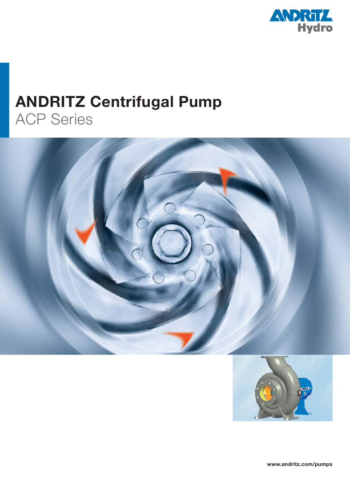

## **ANDRITZ Centrifugal Pump** ACP Series





**www.andritz.com/pumps**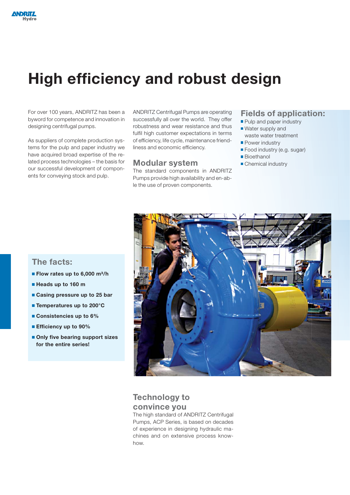# **High efficiency and robust design**

For over 100 years, ANDRITZ has been a byword for competence and innovation in designing centrifugal pumps.

As suppliers of complete production systems for the pulp and paper industry we have acquired broad expertise of the related process technologies – the basis for our successful development of components for conveying stock and pulp.

ANDRITZ Centrifugal Pumps are operating successfully all over the world. They offer robustness and wear resistance and thus fulfil high customer expectations in terms of efficiency, life cycle, maintenance friendliness and economic efficiency.

#### **Modular system**

The standard components in ANDRITZ Pumps provide high availability and en-able the use of proven components.

#### **Fields of application:**

- Pulp and paper industry
- Water supply and waste water treatment
- **Power industry**
- **Food industry (e.g. sugar)**
- **Bioethanol**
- Chemical industry

### **The facts:**

- **Flow rates up to 6,000 m<sup>3</sup>/h**
- **Heads up to 160 m**
- **Casing pressure up to 25 bar**
- **Temperatures up to 200°C**
- **Consistencies up to 6%**
- **Efficiency up to 90%**
- **Only five bearing support sizes for the entire series!**



### **Technology to convince you**

The high standard of ANDRITZ Centrifugal Pumps, ACP Series, is based on decades of experience in designing hydraulic machines and on extensive process knowhow.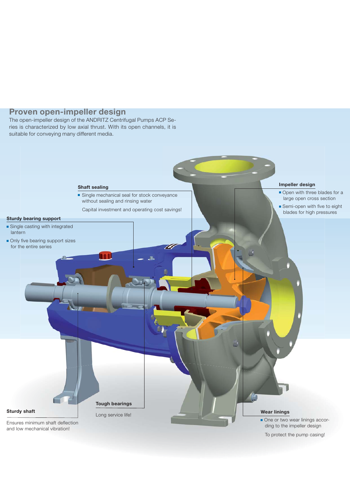#### **Proven open-impeller design**

The open-impeller design of the ANDRITZ Centrifugal Pumps ACP Series is characterized by low axial thrust. With its open channels, it is suitable for conveying many different media.



To protect the pump casing!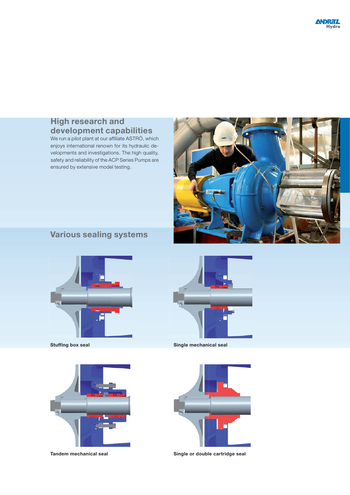## **High research and development capabilities**

We run a pilot plant at our affiliate ASTRÖ, which enjoys international renown for its hydraulic developments and investigations. The high quality, safety and reliability of the ACP Series Pumps are ensured by extensive model testing.



## **Various sealing systems**



**Stuffing box seal**



**Tandem mechanical seal**



**Single mechanical seal**



**Single or double cartridge seal**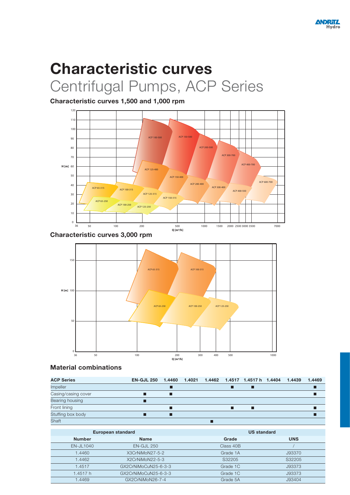# **Characteristic curves** Centrifugal Pumps, ACP Series

**Characteristic curves 1,500 and 1,000 rpm**



**Characteristic curves 3,000 rpm**



**Material combinations**

| <b>ACP Series</b>   | <b>EN-GJL 250</b> |   |  | 1.4460  1.4021  1.4462  1.4517  1.4517   1.4404 | 1.4439 | 1.4469 |
|---------------------|-------------------|---|--|-------------------------------------------------|--------|--------|
| <b>Impeller</b>     |                   |   |  |                                                 |        |        |
| Casing/casing cover |                   | ш |  |                                                 |        |        |
| Bearing housing     |                   |   |  |                                                 |        |        |
| Front lining        |                   |   |  |                                                 |        |        |
| Stuffing box body   |                   | П |  |                                                 |        |        |
| Shaft               |                   |   |  |                                                 |        |        |

|               | European standard    | <b>US standard</b> |            |  |  |
|---------------|----------------------|--------------------|------------|--|--|
| <b>Number</b> | <b>Name</b>          | Grade              | <b>UNS</b> |  |  |
| $EN$ -JL1040  | $EN-GJL 250$         | Class 40B          |            |  |  |
| 1.4460        | X3CrNiMoN27-5-2      | Grade 1A           | J93370     |  |  |
| 1.4462        | X2CrNiMoN22-5-3      | S32205             | S32205     |  |  |
| 1.4517        | GX2CrNiMoCuN25-6-3-3 | Grade 1C           | J93373     |  |  |
| 1.4517 h      | GX2CrNiMoCuN25-6-3-3 | Grade 1C           | J93373     |  |  |
| 1.4469        | GX2CrNiMoN26-7-4     | Grade 5A           | J93404     |  |  |